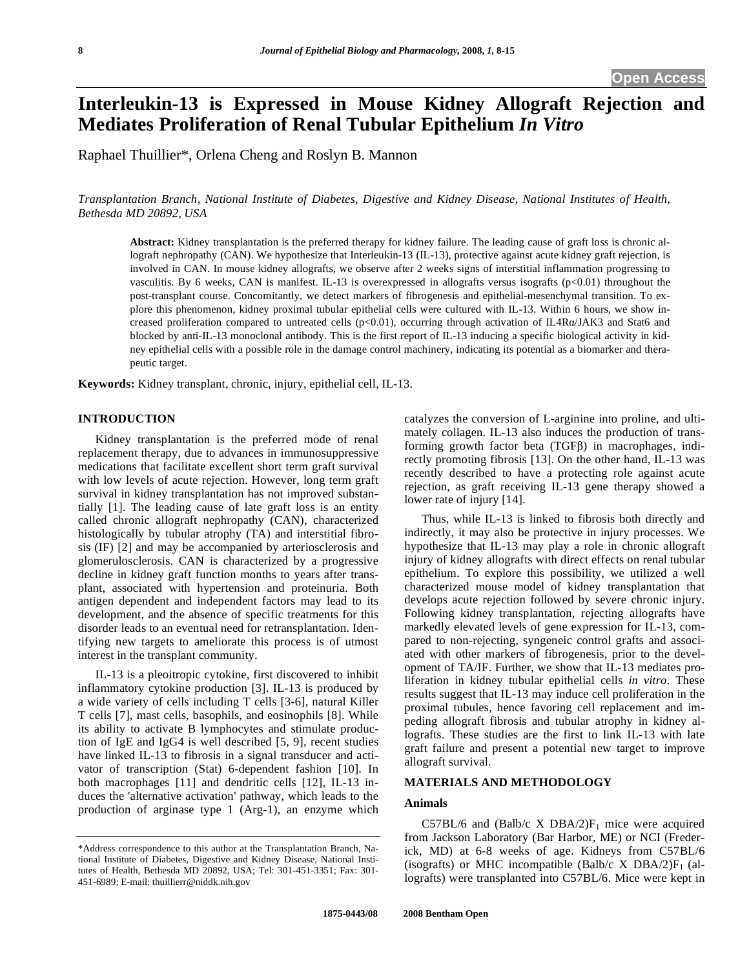# **Interleukin-13 is Expressed in Mouse Kidney Allograft Rejection and Mediates Proliferation of Renal Tubular Epithelium** *In Vitro*

Raphael Thuillier\*, Orlena Cheng and Roslyn B. Mannon

*Transplantation Branch, National Institute of Diabetes, Digestive and Kidney Disease, National Institutes of Health, Bethesda MD 20892, USA* 

**Abstract:** Kidney transplantation is the preferred therapy for kidney failure. The leading cause of graft loss is chronic allograft nephropathy (CAN). We hypothesize that Interleukin-13 (IL-13), protective against acute kidney graft rejection, is involved in CAN. In mouse kidney allografts, we observe after 2 weeks signs of interstitial inflammation progressing to vasculitis. By 6 weeks, CAN is manifest. IL-13 is overexpressed in allografts versus isografts (p<0.01) throughout the post-transplant course. Concomitantly, we detect markers of fibrogenesis and epithelial-mesenchymal transition. To explore this phenomenon, kidney proximal tubular epithelial cells were cultured with IL-13. Within 6 hours, we show increased proliferation compared to untreated cells  $(p<0.01)$ , occurring through activation of IL4R $\alpha$ /JAK3 and Stat6 and blocked by anti-IL-13 monoclonal antibody. This is the first report of IL-13 inducing a specific biological activity in kidney epithelial cells with a possible role in the damage control machinery, indicating its potential as a biomarker and therapeutic target.

**Keywords:** Kidney transplant, chronic, injury, epithelial cell, IL-13.

#### **INTRODUCTION**

 Kidney transplantation is the preferred mode of renal replacement therapy, due to advances in immunosuppressive medications that facilitate excellent short term graft survival with low levels of acute rejection. However, long term graft survival in kidney transplantation has not improved substantially [1]. The leading cause of late graft loss is an entity called chronic allograft nephropathy (CAN), characterized histologically by tubular atrophy (TA) and interstitial fibrosis (IF) [2] and may be accompanied by arteriosclerosis and glomerulosclerosis. CAN is characterized by a progressive decline in kidney graft function months to years after transplant, associated with hypertension and proteinuria. Both antigen dependent and independent factors may lead to its development, and the absence of specific treatments for this disorder leads to an eventual need for retransplantation. Identifying new targets to ameliorate this process is of utmost interest in the transplant community.

 IL-13 is a pleoitropic cytokine, first discovered to inhibit inflammatory cytokine production [3]. IL-13 is produced by a wide variety of cells including T cells [3-6], natural Killer T cells [7], mast cells, basophils, and eosinophils [8]. While its ability to activate B lymphocytes and stimulate production of IgE and IgG4 is well described [5, 9], recent studies have linked IL-13 to fibrosis in a signal transducer and activator of transcription (Stat) 6-dependent fashion [10]. In both macrophages [11] and dendritic cells [12], IL-13 induces the 'alternative activation' pathway, which leads to the production of arginase type 1 (Arg-1), an enzyme which

catalyzes the conversion of L-arginine into proline, and ultimately collagen. IL-13 also induces the production of transforming growth factor beta  $(TGF\beta)$  in macrophages, indirectly promoting fibrosis [13]. On the other hand, IL-13 was recently described to have a protecting role against acute rejection, as graft receiving IL-13 gene therapy showed a lower rate of injury [14].

 Thus, while IL-13 is linked to fibrosis both directly and indirectly, it may also be protective in injury processes. We hypothesize that IL-13 may play a role in chronic allograft injury of kidney allografts with direct effects on renal tubular epithelium. To explore this possibility, we utilized a well characterized mouse model of kidney transplantation that develops acute rejection followed by severe chronic injury. Following kidney transplantation, rejecting allografts have markedly elevated levels of gene expression for IL-13, compared to non-rejecting, syngeneic control grafts and associated with other markers of fibrogenesis, prior to the development of TA/IF. Further, we show that IL-13 mediates proliferation in kidney tubular epithelial cells *in vitro*. These results suggest that IL-13 may induce cell proliferation in the proximal tubules, hence favoring cell replacement and impeding allograft fibrosis and tubular atrophy in kidney allografts. These studies are the first to link IL-13 with late graft failure and present a potential new target to improve allograft survival.

# **MATERIALS AND METHODOLOGY**

#### **Animals**

 $C57BL/6$  and  $(Balb/c X DBA/2)F_1$  mice were acquired from Jackson Laboratory (Bar Harbor, ME) or NCI (Frederick, MD) at 6-8 weeks of age. Kidneys from C57BL/6 (isografts) or MHC incompatible (Balb/c X DBA/2) $F_1$  (allografts) were transplanted into C57BL/6. Mice were kept in

<sup>\*</sup>Address correspondence to this author at the Transplantation Branch, National Institute of Diabetes, Digestive and Kidney Disease, National Institutes of Health, Bethesda MD 20892, USA; Tel: 301-451-3351; Fax: 301- 451-6989; E-mail: thuillierr@niddk.nih.gov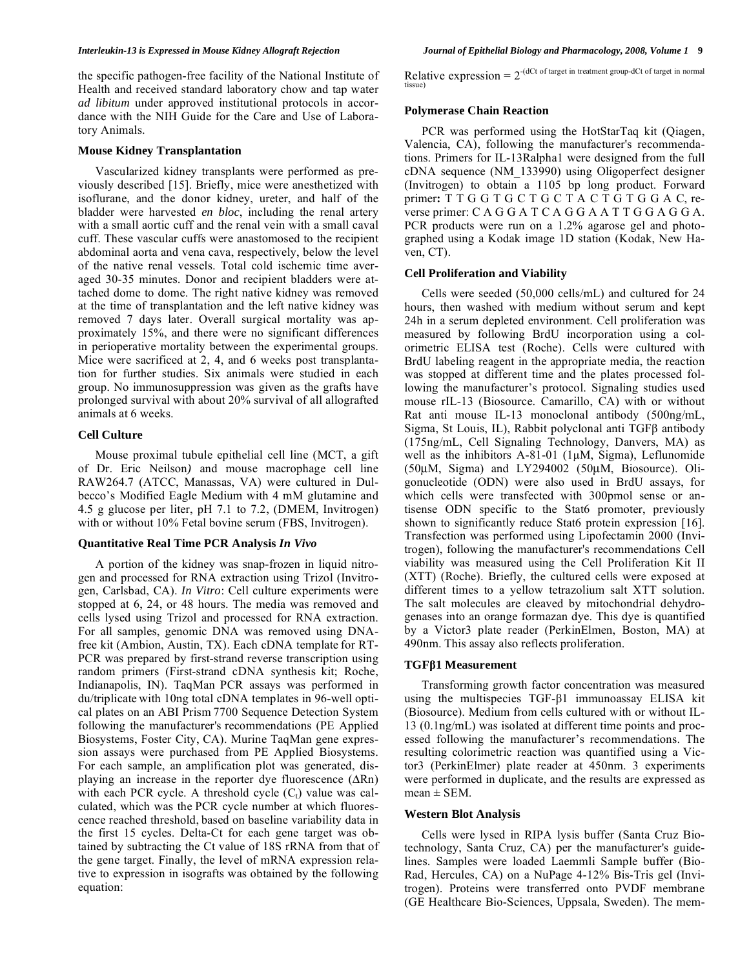#### **Mouse Kidney Transplantation**

 Vascularized kidney transplants were performed as previously described [15]. Briefly, mice were anesthetized with isoflurane, and the donor kidney, ureter, and half of the bladder were harvested *en bloc*, including the renal artery with a small aortic cuff and the renal vein with a small caval cuff. These vascular cuffs were anastomosed to the recipient abdominal aorta and vena cava, respectively, below the level of the native renal vessels. Total cold ischemic time averaged 30-35 minutes. Donor and recipient bladders were attached dome to dome. The right native kidney was removed at the time of transplantation and the left native kidney was removed 7 days later. Overall surgical mortality was approximately 15%, and there were no significant differences in perioperative mortality between the experimental groups. Mice were sacrificed at 2, 4, and 6 weeks post transplantation for further studies. Six animals were studied in each group. No immunosuppression was given as the grafts have prolonged survival with about 20% survival of all allografted animals at 6 weeks.

#### **Cell Culture**

 Mouse proximal tubule epithelial cell line (MCT, a gift of Dr. Eric Neilson*)* and mouse macrophage cell line RAW264.7 (ATCC, Manassas, VA) were cultured in Dulbecco's Modified Eagle Medium with 4 mM glutamine and 4.5 g glucose per liter, pH 7.1 to 7.2, (DMEM, Invitrogen) with or without 10% Fetal bovine serum (FBS, Invitrogen).

## **Quantitative Real Time PCR Analysis** *In Vivo*

 A portion of the kidney was snap-frozen in liquid nitrogen and processed for RNA extraction using Trizol (Invitrogen, Carlsbad, CA). *In Vitro*: Cell culture experiments were stopped at 6, 24, or 48 hours. The media was removed and cells lysed using Trizol and processed for RNA extraction. For all samples, genomic DNA was removed using DNAfree kit (Ambion, Austin, TX). Each cDNA template for RT-PCR was prepared by first-strand reverse transcription using random primers (First-strand cDNA synthesis kit; Roche, Indianapolis, IN). TaqMan PCR assays was performed in du/triplicate with 10ng total cDNA templates in 96-well optical plates on an ABI Prism 7700 Sequence Detection System following the manufacturer's recommendations (PE Applied Biosystems, Foster City, CA). Murine TaqMan gene expression assays were purchased from PE Applied Biosystems. For each sample, an amplification plot was generated, displaying an increase in the reporter dye fluorescence  $(\Delta Rn)$ with each PCR cycle. A threshold cycle  $(C_t)$  value was calculated, which was the PCR cycle number at which fluorescence reached threshold, based on baseline variability data in the first 15 cycles. Delta-Ct for each gene target was obtained by subtracting the Ct value of 18S rRNA from that of the gene target. Finally, the level of mRNA expression relative to expression in isografts was obtained by the following equation:

Relative expression =  $2^{-(dCt \text{ of target in treatment group}-dCt \text{ of target in normal})}$ tissue)

# **Polymerase Chain Reaction**

 PCR was performed using the HotStarTaq kit (Qiagen, Valencia, CA), following the manufacturer's recommendations. Primers for IL-13Ralpha1 were designed from the full cDNA sequence (NM\_133990) using Oligoperfect designer (Invitrogen) to obtain a 1105 bp long product. Forward primer**:** T T G G T G C T G C T A C T G T G G A C, reverse primer: C A G G A T C A G G A A T T G G A G G A. PCR products were run on a 1.2% agarose gel and photographed using a Kodak image 1D station (Kodak, New Haven, CT).

#### **Cell Proliferation and Viability**

 Cells were seeded (50,000 cells/mL) and cultured for 24 hours, then washed with medium without serum and kept 24h in a serum depleted environment. Cell proliferation was measured by following BrdU incorporation using a colorimetric ELISA test (Roche). Cells were cultured with BrdU labeling reagent in the appropriate media, the reaction was stopped at different time and the plates processed following the manufacturer's protocol. Signaling studies used mouse rIL-13 (Biosource. Camarillo, CA) with or without Rat anti mouse IL-13 monoclonal antibody (500ng/mL, Sigma, St Louis, IL), Rabbit polyclonal anti  $TGF\beta$  antibody (175ng/mL, Cell Signaling Technology, Danvers, MA) as well as the inhibitors A-81-01 (1μM, Sigma), Leflunomide (50μM, Sigma) and LY294002 (50μM, Biosource). Oligonucleotide (ODN) were also used in BrdU assays, for which cells were transfected with 300pmol sense or antisense ODN specific to the Stat6 promoter, previously shown to significantly reduce Stat6 protein expression [16]. Transfection was performed using Lipofectamin 2000 (Invitrogen), following the manufacturer's recommendations Cell viability was measured using the Cell Proliferation Kit II (XTT) (Roche). Briefly, the cultured cells were exposed at different times to a yellow tetrazolium salt XTT solution. The salt molecules are cleaved by mitochondrial dehydrogenases into an orange formazan dye. This dye is quantified by a Victor3 plate reader (PerkinElmen, Boston, MA) at 490nm. This assay also reflects proliferation.

## **TGF1 Measurement**

 Transforming growth factor concentration was measured using the multispecies  $TGF- $\beta$ 1 immunoassay ELISA kit$ (Biosource). Medium from cells cultured with or without IL-13 (0.1ng/mL) was isolated at different time points and processed following the manufacturer's recommendations. The resulting colorimetric reaction was quantified using a Victor3 (PerkinElmer) plate reader at 450nm. 3 experiments were performed in duplicate, and the results are expressed as  $mean \pm SEM$ .

## **Western Blot Analysis**

 Cells were lysed in RIPA lysis buffer (Santa Cruz Biotechnology, Santa Cruz, CA) per the manufacturer's guidelines. Samples were loaded Laemmli Sample buffer (Bio-Rad, Hercules, CA) on a NuPage 4-12% Bis-Tris gel (Invitrogen). Proteins were transferred onto PVDF membrane (GE Healthcare Bio-Sciences, Uppsala, Sweden). The mem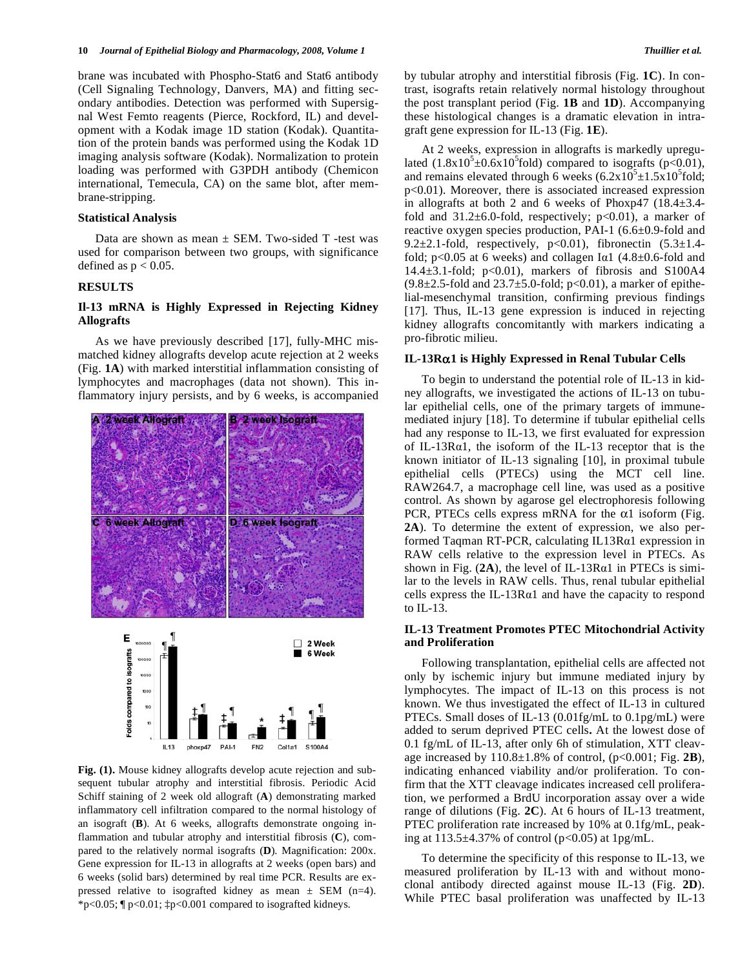brane was incubated with Phospho-Stat6 and Stat6 antibody (Cell Signaling Technology, Danvers, MA) and fitting secondary antibodies. Detection was performed with Supersignal West Femto reagents (Pierce, Rockford, IL) and development with a Kodak image 1D station (Kodak). Quantitation of the protein bands was performed using the Kodak 1D imaging analysis software (Kodak). Normalization to protein loading was performed with G3PDH antibody (Chemicon international, Temecula, CA) on the same blot, after membrane-stripping.

#### **Statistical Analysis**

Data are shown as mean  $\pm$  SEM. Two-sided T -test was used for comparison between two groups, with significance defined as  $p < 0.05$ .

#### **RESULTS**

# **Il-13 mRNA is Highly Expressed in Rejecting Kidney Allografts**

 As we have previously described [17], fully-MHC mismatched kidney allografts develop acute rejection at 2 weeks (Fig. **1A**) with marked interstitial inflammation consisting of lymphocytes and macrophages (data not shown). This inflammatory injury persists, and by 6 weeks, is accompanied



**Fig. (1).** Mouse kidney allografts develop acute rejection and subsequent tubular atrophy and interstitial fibrosis. Periodic Acid Schiff staining of 2 week old allograft (**A**) demonstrating marked inflammatory cell infiltration compared to the normal histology of an isograft (**B**). At 6 weeks, allografts demonstrate ongoing inflammation and tubular atrophy and interstitial fibrosis (**C**), compared to the relatively normal isografts (**D**). Magnification: 200x. Gene expression for IL-13 in allografts at 2 weeks (open bars) and 6 weeks (solid bars) determined by real time PCR. Results are expressed relative to isografted kidney as mean  $\pm$  SEM (n=4). \*p<0.05;  $\eta$  p<0.01;  $\uparrow$  p<0.001 compared to isografted kidneys.

by tubular atrophy and interstitial fibrosis (Fig. **1C**). In contrast, isografts retain relatively normal histology throughout the post transplant period (Fig. **1B** and **1D**). Accompanying these histological changes is a dramatic elevation in intragraft gene expression for IL-13 (Fig. **1E**).

 At 2 weeks, expression in allografts is markedly upregulated  $(1.8 \times 10^5 \pm 0.6 \times 10^5$  fold) compared to isografts (p<0.01), and remains elevated through 6 weeks  $(6.2 \times 10^5 \pm 1.5 \times 10^5$  fold; p<0.01). Moreover, there is associated increased expression in allografts at both 2 and 6 weeks of Phoxp47 (18.4±3.4 fold and  $31.2\pm6.0$ -fold, respectively; p<0.01), a marker of reactive oxygen species production, PAI-1 (6.6±0.9-fold and 9.2 $\pm$ 2.1-fold, respectively, p<0.01), fibronectin (5.3 $\pm$ 1.4fold;  $p<0.05$  at 6 weeks) and collagen I $\alpha$ 1 (4.8 $\pm$ 0.6-fold and 14.4 $\pm$ 3.1-fold; p<0.01), markers of fibrosis and S100A4  $(9.8\pm 2.5\text{-}fold$  and  $23.7\pm 5.0\text{-}fold$ ; p<0.01), a marker of epithelial-mesenchymal transition, confirming previous findings [17]. Thus, IL-13 gene expression is induced in rejecting kidney allografts concomitantly with markers indicating a pro-fibrotic milieu.

#### **IL-13R1 is Highly Expressed in Renal Tubular Cells**

 To begin to understand the potential role of IL-13 in kidney allografts, we investigated the actions of IL-13 on tubular epithelial cells, one of the primary targets of immunemediated injury [18]. To determine if tubular epithelial cells had any response to IL-13, we first evaluated for expression of IL-13R $\alpha$ 1, the isoform of the IL-13 receptor that is the known initiator of IL-13 signaling [10], in proximal tubule epithelial cells (PTECs) using the MCT cell line. RAW264.7, a macrophage cell line, was used as a positive control. As shown by agarose gel electrophoresis following PCR, PTECs cells express mRNA for the  $\alpha$ 1 isoform (Fig. **2A**). To determine the extent of expression, we also performed Taqman RT-PCR, calculating  $IL13Ra1$  expression in RAW cells relative to the expression level in PTECs. As shown in Fig.  $(2A)$ , the level of IL-13R $\alpha$ 1 in PTECs is similar to the levels in RAW cells. Thus, renal tubular epithelial cells express the IL-13R $\alpha$ 1 and have the capacity to respond to IL-13.

#### **IL-13 Treatment Promotes PTEC Mitochondrial Activity and Proliferation**

 Following transplantation, epithelial cells are affected not only by ischemic injury but immune mediated injury by lymphocytes. The impact of IL-13 on this process is not known. We thus investigated the effect of IL-13 in cultured PTECs. Small doses of IL-13 (0.01fg/mL to 0.1pg/mL) were added to serum deprived PTEC cells**.** At the lowest dose of 0.1 fg/mL of IL-13, after only 6h of stimulation, XTT cleavage increased by 110.8±1.8% of control, (p<0.001; Fig. **2B**), indicating enhanced viability and/or proliferation. To confirm that the XTT cleavage indicates increased cell proliferation, we performed a BrdU incorporation assay over a wide range of dilutions (Fig. **2C**). At 6 hours of IL-13 treatment, PTEC proliferation rate increased by 10% at 0.1fg/mL, peaking at  $113.5\pm4.37\%$  of control (p<0.05) at 1pg/mL.

 To determine the specificity of this response to IL-13, we measured proliferation by IL-13 with and without monoclonal antibody directed against mouse IL-13 (Fig. **2D**). While PTEC basal proliferation was unaffected by IL-13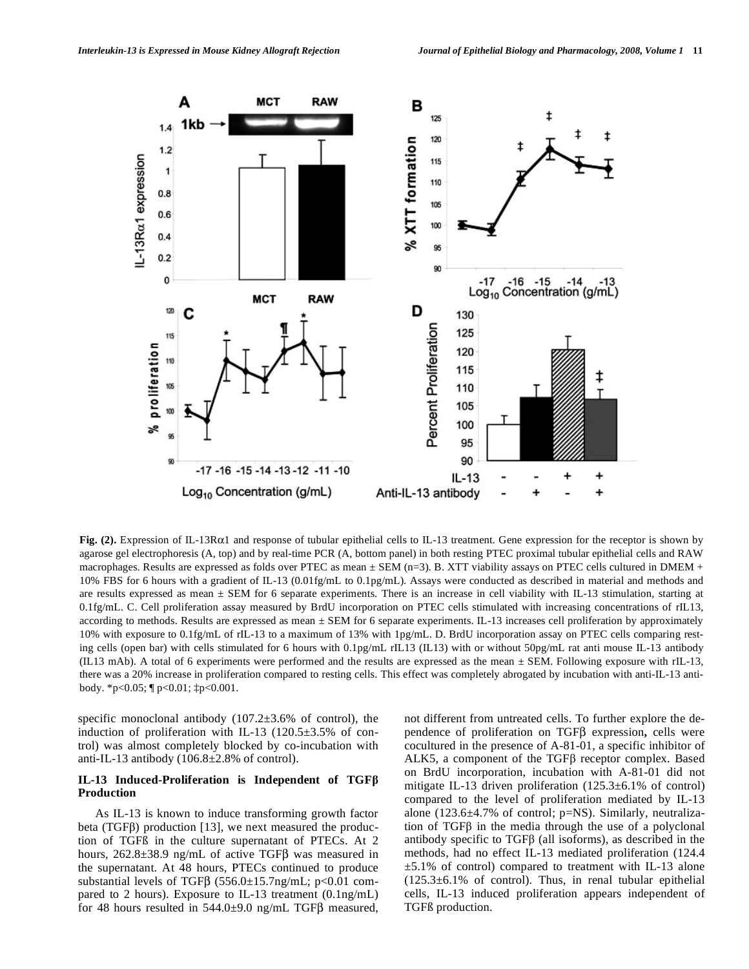

**Fig. (2).** Expression of IL-13R $\alpha$ 1 and response of tubular epithelial cells to IL-13 treatment. Gene expression for the receptor is shown by agarose gel electrophoresis (A, top) and by real-time PCR (A, bottom panel) in both resting PTEC proximal tubular epithelial cells and RAW macrophages. Results are expressed as folds over PTEC as mean  $\pm$  SEM (n=3). B. XTT viability assays on PTEC cells cultured in DMEM + 10% FBS for 6 hours with a gradient of IL-13 (0.01fg/mL to 0.1pg/mL). Assays were conducted as described in material and methods and are results expressed as mean  $\pm$  SEM for 6 separate experiments. There is an increase in cell viability with IL-13 stimulation, starting at 0.1fg/mL. C. Cell proliferation assay measured by BrdU incorporation on PTEC cells stimulated with increasing concentrations of rIL13, according to methods. Results are expressed as mean ± SEM for 6 separate experiments. IL-13 increases cell proliferation by approximately 10% with exposure to 0.1fg/mL of rIL-13 to a maximum of 13% with 1pg/mL. D. BrdU incorporation assay on PTEC cells comparing resting cells (open bar) with cells stimulated for 6 hours with 0.1pg/mL rIL13 (IL13) with or without 50pg/mL rat anti mouse IL-13 antibody (IL13 mAb). A total of 6 experiments were performed and the results are expressed as the mean  $\pm$  SEM. Following exposure with rIL-13, there was a 20% increase in proliferation compared to resting cells. This effect was completely abrogated by incubation with anti-IL-13 antibody. \*p<0.05; ¶ p<0.01; ‡p<0.001.

specific monoclonal antibody  $(107.2\pm3.6\%$  of control), the induction of proliferation with IL-13 (120.5±3.5% of control) was almost completely blocked by co-incubation with anti-IL-13 antibody (106.8±2.8% of control).

## **IL-13 Induced-Proliferation is Independent of TGF Production**

 As IL-13 is known to induce transforming growth factor beta (TGF $\beta$ ) production [13], we next measured the production of TGFß in the culture supernatant of PTECs. At 2 hours,  $262.8 \pm 38.9$  ng/mL of active TGF $\beta$  was measured in the supernatant. At 48 hours, PTECs continued to produce substantial levels of TGF $\beta$  (556.0±15.7ng/mL; p<0.01 compared to 2 hours). Exposure to IL-13 treatment (0.1ng/mL) for 48 hours resulted in  $544.0 \pm 9.0$  ng/mL TGF $\beta$  measured, not different from untreated cells. To further explore the dependence of proliferation on TGF<sub>B</sub> expression, cells were cocultured in the presence of A-81-01, a specific inhibitor of ALK5, a component of the TGF $\beta$  receptor complex. Based on BrdU incorporation, incubation with A-81-01 did not mitigate IL-13 driven proliferation (125.3±6.1% of control) compared to the level of proliferation mediated by IL-13 alone (123.6±4.7% of control; p=NS). Similarly, neutralization of  $TGF\beta$  in the media through the use of a polyclonal antibody specific to TGF $\beta$  (all isoforms), as described in the methods, had no effect IL-13 mediated proliferation (124.4 ±5.1% of control) compared to treatment with IL-13 alone  $(125.3\pm6.1\%$  of control). Thus, in renal tubular epithelial cells, IL-13 induced proliferation appears independent of TGFß production.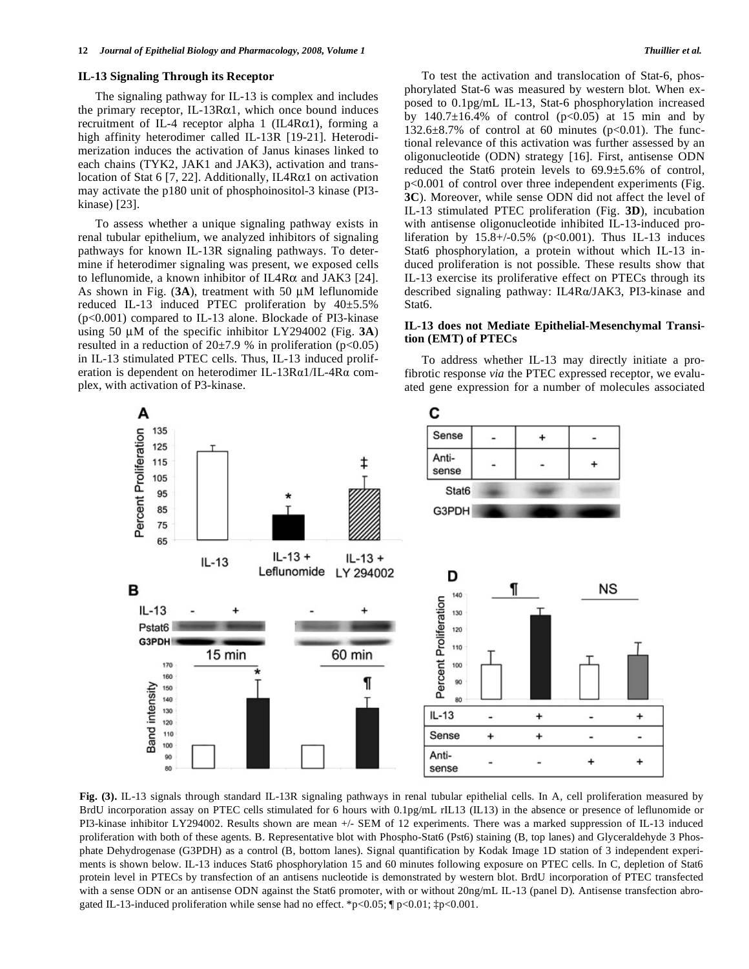#### **IL-13 Signaling Through its Receptor**

 The signaling pathway for IL-13 is complex and includes the primary receptor, IL-13R $\alpha$ 1, which once bound induces recruitment of IL-4 receptor alpha 1 (IL4R $\alpha$ 1), forming a high affinity heterodimer called IL-13R [19-21]. Heterodimerization induces the activation of Janus kinases linked to each chains (TYK2, JAK1 and JAK3), activation and translocation of Stat 6 [7, 22]. Additionally, IL4R $\alpha$ 1 on activation may activate the p180 unit of phosphoinositol-3 kinase (PI3 kinase) [23].

 To assess whether a unique signaling pathway exists in renal tubular epithelium, we analyzed inhibitors of signaling pathways for known IL-13R signaling pathways. To determine if heterodimer signaling was present, we exposed cells to leflunomide, a known inhibitor of IL4R $\alpha$  and JAK3 [24]. As shown in Fig. (**3A**), treatment with 50 μM leflunomide reduced IL-13 induced PTEC proliferation by 40±5.5% (p<0.001) compared to IL-13 alone. Blockade of PI3-kinase using 50 μM of the specific inhibitor LY294002 (Fig. **3A**) resulted in a reduction of  $20\pm7.9$  % in proliferation (p<0.05) in IL-13 stimulated PTEC cells. Thus, IL-13 induced proliferation is dependent on heterodimer IL-13R $\alpha$ 1/IL-4R $\alpha$  complex, with activation of P3-kinase.

 To test the activation and translocation of Stat-6, phosphorylated Stat-6 was measured by western blot. When exposed to 0.1pg/mL IL-13, Stat-6 phosphorylation increased by  $140.7\pm16.4\%$  of control (p<0.05) at 15 min and by 132.6 $\pm$ 8.7% of control at 60 minutes (p<0.01). The functional relevance of this activation was further assessed by an oligonucleotide (ODN) strategy [16]. First, antisense ODN reduced the Stat6 protein levels to 69.9±5.6% of control, p<0.001 of control over three independent experiments (Fig. **3C**). Moreover, while sense ODN did not affect the level of IL-13 stimulated PTEC proliferation (Fig. **3D**), incubation with antisense oligonucleotide inhibited IL-13-induced proliferation by  $15.8 + (-0.5\%$  (p<0.001). Thus IL-13 induces Stat6 phosphorylation, a protein without which IL-13 induced proliferation is not possible. These results show that IL-13 exercise its proliferative effect on PTECs through its described signaling pathway: IL4R $\alpha$ /JAK3, PI3-kinase and Stat6.

#### **IL-13 does not Mediate Epithelial-Mesenchymal Transition (EMT) of PTECs**

 To address whether IL-13 may directly initiate a profibrotic response *via* the PTEC expressed receptor, we evaluated gene expression for a number of molecules associated



**Fig. (3).** IL-13 signals through standard IL-13R signaling pathways in renal tubular epithelial cells. In A, cell proliferation measured by BrdU incorporation assay on PTEC cells stimulated for 6 hours with 0.1pg/mL rIL13 (IL13) in the absence or presence of leflunomide or PI3-kinase inhibitor LY294002. Results shown are mean +/- SEM of 12 experiments. There was a marked suppression of IL-13 induced proliferation with both of these agents. B. Representative blot with Phospho-Stat6 (Pst6) staining (B, top lanes) and Glyceraldehyde 3 Phosphate Dehydrogenase (G3PDH) as a control (B, bottom lanes). Signal quantification by Kodak Image 1D station of 3 independent experiments is shown below. IL-13 induces Stat6 phosphorylation 15 and 60 minutes following exposure on PTEC cells. In C, depletion of Stat6 protein level in PTECs by transfection of an antisens nucleotide is demonstrated by western blot. BrdU incorporation of PTEC transfected with a sense ODN or an antisense ODN against the Stat6 promoter, with or without 20ng/mL IL-13 (panel D). Antisense transfection abrogated IL-13-induced proliferation while sense had no effect. \*p<0.05;  $\eta$  p<0.01;  $\dot{\tau}$  p<0.001.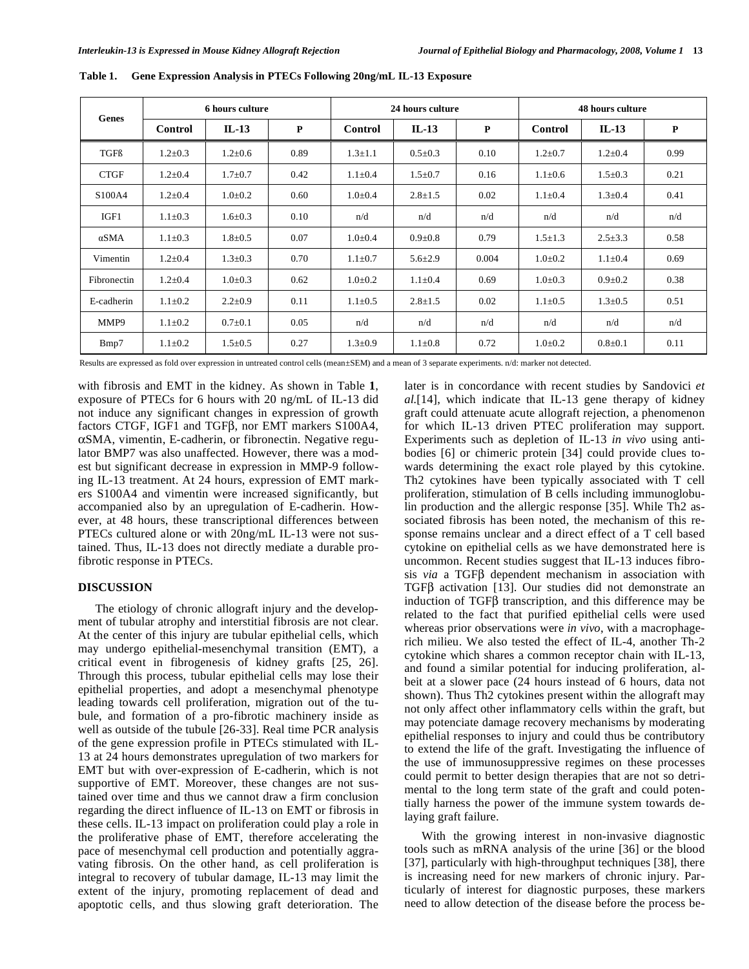| Genes       | <b>6 hours culture</b> |               |             | 24 hours culture |               |              | <b>48 hours culture</b> |               |      |
|-------------|------------------------|---------------|-------------|------------------|---------------|--------------|-------------------------|---------------|------|
|             | <b>Control</b>         | $IL-13$       | $\mathbf P$ | Control          | $IL-13$       | $\mathbf{P}$ | Control                 | $IL-13$       | P    |
| TGFß        | $1.2 \pm 0.3$          | $1.2 \pm 0.6$ | 0.89        | $1.3 \pm 1.1$    | $0.5 \pm 0.3$ | 0.10         | $1.2 \pm 0.7$           | $1.2 \pm 0.4$ | 0.99 |
| <b>CTGF</b> | $1.2 \pm 0.4$          | $1.7 \pm 0.7$ | 0.42        | $1.1 \pm 0.4$    | $1.5 \pm 0.7$ | 0.16         | $1.1 \pm 0.6$           | $1.5 \pm 0.3$ | 0.21 |
| S100A4      | $1.2 \pm 0.4$          | $1.0 \pm 0.2$ | 0.60        | $1.0 \pm 0.4$    | $2.8 \pm 1.5$ | 0.02         | $1.1 \pm 0.4$           | $1.3 \pm 0.4$ | 0.41 |
| IGF1        | $1.1 \pm 0.3$          | $1.6 \pm 0.3$ | 0.10        | n/d              | n/d           | n/d          | n/d                     | n/d           | n/d  |
| αSMA        | $1.1 \pm 0.3$          | $1.8 \pm 0.5$ | 0.07        | $1.0 \pm 0.4$    | $0.9 \pm 0.8$ | 0.79         | $1.5 \pm 1.3$           | $2.5 \pm 3.3$ | 0.58 |
| Vimentin    | $1.2 \pm 0.4$          | $1.3 \pm 0.3$ | 0.70        | $1.1 \pm 0.7$    | $5.6 \pm 2.9$ | 0.004        | $1.0 \pm 0.2$           | $1.1 \pm 0.4$ | 0.69 |
| Fibronectin | $1.2 \pm 0.4$          | $1.0 \pm 0.3$ | 0.62        | $1.0 \pm 0.2$    | $1.1 \pm 0.4$ | 0.69         | $1.0 \pm 0.3$           | $0.9 + 0.2$   | 0.38 |
| E-cadherin  | $1.1 \pm 0.2$          | $2.2 \pm 0.9$ | 0.11        | $1.1 \pm 0.5$    | $2.8 \pm 1.5$ | 0.02         | $1.1 \pm 0.5$           | $1.3 \pm 0.5$ | 0.51 |
| MMP9        | $1.1 \pm 0.2$          | $0.7 \pm 0.1$ | 0.05        | n/d              | n/d           | n/d          | n/d                     | n/d           | n/d  |
| Bmp7        | $1.1 \pm 0.2$          | $1.5 \pm 0.5$ | 0.27        | $1.3 \pm 0.9$    | $1.1 \pm 0.8$ | 0.72         | $1.0 \pm 0.2$           | $0.8 \pm 0.1$ | 0.11 |

**Table 1. Gene Expression Analysis in PTECs Following 20ng/mL IL-13 Exposure** 

Results are expressed as fold over expression in untreated control cells (mean±SEM) and a mean of 3 separate experiments. n/d: marker not detected.

with fibrosis and EMT in the kidney. As shown in Table **1**, exposure of PTECs for 6 hours with 20 ng/mL of IL-13 did not induce any significant changes in expression of growth factors CTGF, IGF1 and TGF $\beta$ , nor EMT markers S100A4, SMA, vimentin, E-cadherin, or fibronectin. Negative regulator BMP7 was also unaffected. However, there was a modest but significant decrease in expression in MMP-9 following IL-13 treatment. At 24 hours, expression of EMT markers S100A4 and vimentin were increased significantly, but accompanied also by an upregulation of E-cadherin. However, at 48 hours, these transcriptional differences between PTECs cultured alone or with 20ng/mL IL-13 were not sustained. Thus, IL-13 does not directly mediate a durable profibrotic response in PTECs.

## **DISCUSSION**

 The etiology of chronic allograft injury and the development of tubular atrophy and interstitial fibrosis are not clear. At the center of this injury are tubular epithelial cells, which may undergo epithelial-mesenchymal transition (EMT), a critical event in fibrogenesis of kidney grafts [25, 26]. Through this process, tubular epithelial cells may lose their epithelial properties, and adopt a mesenchymal phenotype leading towards cell proliferation, migration out of the tubule, and formation of a pro-fibrotic machinery inside as well as outside of the tubule [26-33]. Real time PCR analysis of the gene expression profile in PTECs stimulated with IL-13 at 24 hours demonstrates upregulation of two markers for EMT but with over-expression of E-cadherin, which is not supportive of EMT. Moreover, these changes are not sustained over time and thus we cannot draw a firm conclusion regarding the direct influence of IL-13 on EMT or fibrosis in these cells. IL-13 impact on proliferation could play a role in the proliferative phase of EMT, therefore accelerating the pace of mesenchymal cell production and potentially aggravating fibrosis. On the other hand, as cell proliferation is integral to recovery of tubular damage, IL-13 may limit the extent of the injury, promoting replacement of dead and apoptotic cells, and thus slowing graft deterioration. The

later is in concordance with recent studies by Sandovici *et al.*[14], which indicate that IL-13 gene therapy of kidney graft could attenuate acute allograft rejection, a phenomenon for which IL-13 driven PTEC proliferation may support. Experiments such as depletion of IL-13 *in vivo* using antibodies [6] or chimeric protein [34] could provide clues towards determining the exact role played by this cytokine. Th2 cytokines have been typically associated with T cell proliferation, stimulation of B cells including immunoglobulin production and the allergic response [35]. While Th2 associated fibrosis has been noted, the mechanism of this response remains unclear and a direct effect of a T cell based cytokine on epithelial cells as we have demonstrated here is uncommon. Recent studies suggest that IL-13 induces fibrosis *via* a TGF<sub>B</sub> dependent mechanism in association with  $TGF\beta$  activation [13]. Our studies did not demonstrate an induction of TGF $\beta$  transcription, and this difference may be related to the fact that purified epithelial cells were used whereas prior observations were *in vivo*, with a macrophagerich milieu. We also tested the effect of IL-4, another Th-2 cytokine which shares a common receptor chain with IL-13, and found a similar potential for inducing proliferation, albeit at a slower pace (24 hours instead of 6 hours, data not shown). Thus Th2 cytokines present within the allograft may not only affect other inflammatory cells within the graft, but may potenciate damage recovery mechanisms by moderating epithelial responses to injury and could thus be contributory to extend the life of the graft. Investigating the influence of the use of immunosuppressive regimes on these processes could permit to better design therapies that are not so detrimental to the long term state of the graft and could potentially harness the power of the immune system towards delaying graft failure.

 With the growing interest in non-invasive diagnostic tools such as mRNA analysis of the urine [36] or the blood [37], particularly with high-throughput techniques [38], there is increasing need for new markers of chronic injury. Particularly of interest for diagnostic purposes, these markers need to allow detection of the disease before the process be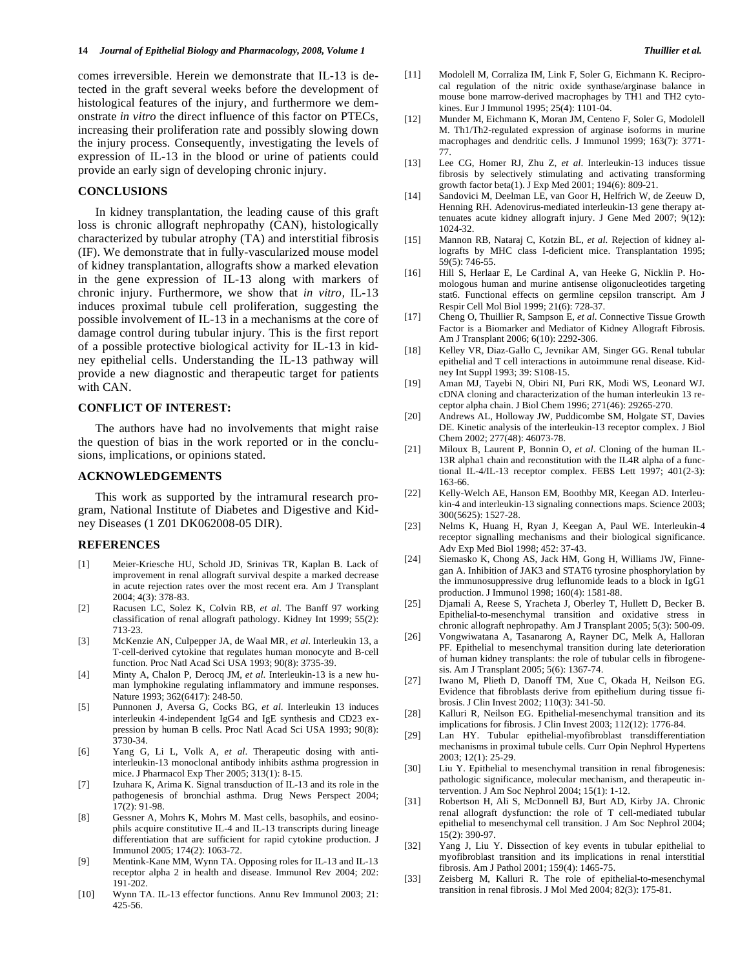comes irreversible. Herein we demonstrate that IL-13 is detected in the graft several weeks before the development of histological features of the injury, and furthermore we demonstrate *in vitro* the direct influence of this factor on PTECs, increasing their proliferation rate and possibly slowing down the injury process. Consequently, investigating the levels of expression of IL-13 in the blood or urine of patients could provide an early sign of developing chronic injury.

# **CONCLUSIONS**

 In kidney transplantation, the leading cause of this graft loss is chronic allograft nephropathy (CAN), histologically characterized by tubular atrophy (TA) and interstitial fibrosis (IF). We demonstrate that in fully-vascularized mouse model of kidney transplantation, allografts show a marked elevation in the gene expression of IL-13 along with markers of chronic injury. Furthermore, we show that *in vitro,* IL-13 induces proximal tubule cell proliferation, suggesting the possible involvement of IL-13 in a mechanisms at the core of damage control during tubular injury. This is the first report of a possible protective biological activity for IL-13 in kidney epithelial cells. Understanding the IL-13 pathway will provide a new diagnostic and therapeutic target for patients with CAN.

#### **CONFLICT OF INTEREST:**

 The authors have had no involvements that might raise the question of bias in the work reported or in the conclusions, implications, or opinions stated.

#### **ACKNOWLEDGEMENTS**

 This work as supported by the intramural research program, National Institute of Diabetes and Digestive and Kidney Diseases (1 Z01 DK062008-05 DIR).

#### **REFERENCES**

- [1] Meier-Kriesche HU, Schold JD, Srinivas TR, Kaplan B. Lack of improvement in renal allograft survival despite a marked decrease in acute rejection rates over the most recent era. Am J Transplant 2004; 4(3): 378-83.
- [2] Racusen LC, Solez K, Colvin RB, *et al*. The Banff 97 working classification of renal allograft pathology. Kidney Int 1999; 55(2): 713-23.
- [3] McKenzie AN, Culpepper JA, de Waal MR, *et al*. Interleukin 13, a T-cell-derived cytokine that regulates human monocyte and B-cell function. Proc Natl Acad Sci USA 1993; 90(8): 3735-39.
- [4] Minty A, Chalon P, Derocq JM, *et al*. Interleukin-13 is a new human lymphokine regulating inflammatory and immune responses. Nature 1993; 362(6417): 248-50.
- [5] Punnonen J, Aversa G, Cocks BG, *et al*. Interleukin 13 induces interleukin 4-independent IgG4 and IgE synthesis and CD23 expression by human B cells. Proc Natl Acad Sci USA 1993; 90(8): 3730-34.
- [6] Yang G, Li L, Volk A, *et al*. Therapeutic dosing with antiinterleukin-13 monoclonal antibody inhibits asthma progression in mice. J Pharmacol Exp Ther 2005; 313(1): 8-15.
- [7] Izuhara K, Arima K. Signal transduction of IL-13 and its role in the pathogenesis of bronchial asthma. Drug News Perspect 2004; 17(2): 91-98.
- [8] Gessner A, Mohrs K, Mohrs M. Mast cells, basophils, and eosinophils acquire constitutive IL-4 and IL-13 transcripts during lineage differentiation that are sufficient for rapid cytokine production. J Immunol 2005; 174(2): 1063-72.
- [9] Mentink-Kane MM, Wynn TA. Opposing roles for IL-13 and IL-13 receptor alpha 2 in health and disease. Immunol Rev 2004; 202: 191-202.
- [10] Wynn TA. IL-13 effector functions. Annu Rev Immunol 2003; 21: 425-56.
- [11] Modolell M, Corraliza IM, Link F, Soler G, Eichmann K. Reciprocal regulation of the nitric oxide synthase/arginase balance in mouse bone marrow-derived macrophages by TH1 and TH2 cytokines. Eur J Immunol 1995; 25(4): 1101-04.
- [12] Munder M, Eichmann K, Moran JM, Centeno F, Soler G, Modolell M. Th1/Th2-regulated expression of arginase isoforms in murine macrophages and dendritic cells. J Immunol 1999; 163(7): 3771- 77.
- [13] Lee CG, Homer RJ, Zhu Z, *et al*. Interleukin-13 induces tissue fibrosis by selectively stimulating and activating transforming growth factor beta(1). J Exp Med 2001; 194(6): 809-21.
- [14] Sandovici M, Deelman LE, van Goor H, Helfrich W, de Zeeuw D, Henning RH. Adenovirus-mediated interleukin-13 gene therapy attenuates acute kidney allograft injury. J Gene Med 2007; 9(12): 1024-32.
- [15] Mannon RB, Nataraj C, Kotzin BL, *et al*. Rejection of kidney allografts by MHC class I-deficient mice. Transplantation 1995; 59(5): 746-55.
- [16] Hill S, Herlaar E, Le Cardinal A, van Heeke G, Nicklin P. Homologous human and murine antisense oligonucleotides targeting stat6. Functional effects on germline cepsilon transcript. Am J Respir Cell Mol Biol 1999; 21(6): 728-37.
- [17] Cheng O, Thuillier R, Sampson E, *et al*. Connective Tissue Growth Factor is a Biomarker and Mediator of Kidney Allograft Fibrosis. Am J Transplant 2006; 6(10): 2292-306.
- [18] Kelley VR, Diaz-Gallo C, Jevnikar AM, Singer GG. Renal tubular epithelial and T cell interactions in autoimmune renal disease. Kidney Int Suppl 1993; 39: S108-15.
- [19] Aman MJ, Tayebi N, Obiri NI, Puri RK, Modi WS, Leonard WJ. cDNA cloning and characterization of the human interleukin 13 receptor alpha chain. J Biol Chem 1996; 271(46): 29265-270.
- [20] Andrews AL, Holloway JW, Puddicombe SM, Holgate ST, Davies DE. Kinetic analysis of the interleukin-13 receptor complex. J Biol Chem 2002; 277(48): 46073-78.
- [21] Miloux B, Laurent P, Bonnin O, *et al*. Cloning of the human IL-13R alpha1 chain and reconstitution with the IL4R alpha of a functional IL-4/IL-13 receptor complex. FEBS Lett 1997; 401(2-3): 163-66.
- [22] Kelly-Welch AE, Hanson EM, Boothby MR, Keegan AD. Interleukin-4 and interleukin-13 signaling connections maps. Science 2003; 300(5625): 1527-28.
- [23] Nelms K, Huang H, Ryan J, Keegan A, Paul WE. Interleukin-4 receptor signalling mechanisms and their biological significance. Adv Exp Med Biol 1998; 452: 37-43.
- [24] Siemasko K, Chong AS, Jack HM, Gong H, Williams JW, Finnegan A. Inhibition of JAK3 and STAT6 tyrosine phosphorylation by the immunosuppressive drug leflunomide leads to a block in IgG1 production. J Immunol 1998; 160(4): 1581-88.
- [25] Djamali A, Reese S, Yracheta J, Oberley T, Hullett D, Becker B. Epithelial-to-mesenchymal transition and oxidative stress in chronic allograft nephropathy. Am J Transplant 2005; 5(3): 500-09.
- [26] Vongwiwatana A, Tasanarong A, Rayner DC, Melk A, Halloran PF. Epithelial to mesenchymal transition during late deterioration of human kidney transplants: the role of tubular cells in fibrogenesis. Am J Transplant 2005; 5(6): 1367-74.
- [27] Iwano M, Plieth D, Danoff TM, Xue C, Okada H, Neilson EG. Evidence that fibroblasts derive from epithelium during tissue fibrosis. J Clin Invest 2002; 110(3): 341-50.
- [28] Kalluri R, Neilson EG. Epithelial-mesenchymal transition and its implications for fibrosis. J Clin Invest 2003; 112(12): 1776-84.
- [29] Lan HY. Tubular epithelial-myofibroblast transdifferentiation mechanisms in proximal tubule cells. Curr Opin Nephrol Hypertens 2003; 12(1): 25-29.
- [30] Liu Y. Epithelial to mesenchymal transition in renal fibrogenesis: pathologic significance, molecular mechanism, and therapeutic intervention. J Am Soc Nephrol 2004; 15(1): 1-12.
- [31] Robertson H, Ali S, McDonnell BJ, Burt AD, Kirby JA. Chronic renal allograft dysfunction: the role of T cell-mediated tubular epithelial to mesenchymal cell transition. J Am Soc Nephrol 2004; 15(2): 390-97.
- [32] Yang J, Liu Y. Dissection of key events in tubular epithelial to myofibroblast transition and its implications in renal interstitial fibrosis. Am J Pathol 2001; 159(4): 1465-75.
- [33] Zeisberg M, Kalluri R. The role of epithelial-to-mesenchymal transition in renal fibrosis. J Mol Med 2004; 82(3): 175-81.